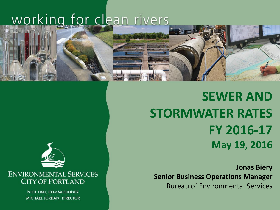# working for clean rivers



**SEWER AND STORMWATER RATES FY 2016-17 May 19, 2016**

**Jonas Biery Senior Business Operations Manager** Bureau of Environmental Services



**ENVIRONMENTAL SERVICES CITY OF PORTLAND** 

> NICK FISH, COMMISSIONER MICHAEL JORDAN, DIRECTOR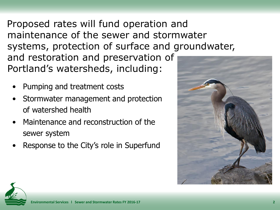Proposed rates will fund operation and maintenance of the sewer and stormwater systems, protection of surface and groundwater, and restoration and preservation of Portland's watersheds, including:

- Pumping and treatment costs
- Stormwater management and protection of watershed health
- Maintenance and reconstruction of the sewer system
- Response to the City's role in Superfund



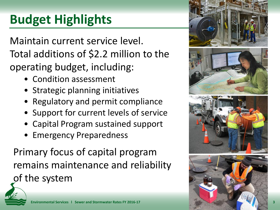# **Budget Highlights**

Maintain current service level. Total additions of \$2.2 million to the operating budget, including:

- Condition assessment
- Strategic planning initiatives
- Regulatory and permit compliance
- Support for current levels of service
- Capital Program sustained support
- Emergency Preparedness

Primary focus of capital program remains maintenance and reliability of the system



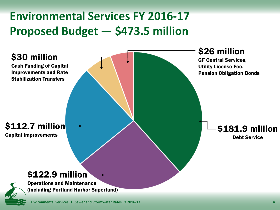#### **Environmental Services FY 2016-17 Proposed Budget — \$473.5 million**

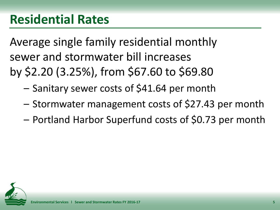Average single family residential monthly sewer and stormwater bill increases by \$2.20 (3.25%), from \$67.60 to \$69.80

- Sanitary sewer costs of \$41.64 per month
- Stormwater management costs of \$27.43 per month
- Portland Harbor Superfund costs of \$0.73 per month

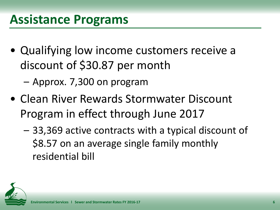- Qualifying low income customers receive a discount of \$30.87 per month
	- Approx. 7,300 on program
- Clean River Rewards Stormwater Discount Program in effect through June 2017
	- 33,369 active contracts with a typical discount of \$8.57 on an average single family monthly residential bill

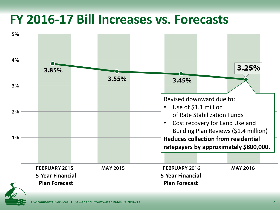### **FY 2016-17 Bill Increases vs. Forecasts**



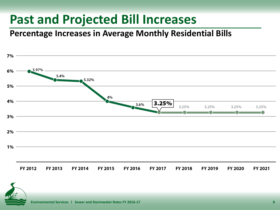## **Past and Projected Bill Increases**

**Percentage Increases in Average Monthly Residential Bills**



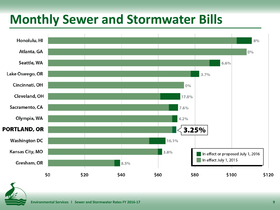## **Monthly Sewer and Stormwater Bills**